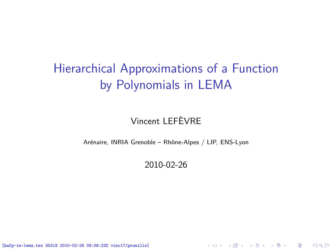# Hierarchical Approximations of a Function by Polynomials in LEMA

### Vincent LEFÈVRE

Arénaire, INRIA Grenoble – Rhône-Alpes / LIP, ENS-Lyon

2010-02-26

<span id="page-0-0"></span>K ロ ▶ K @ ▶ K 할 ▶ K 할 ▶ 이 할 → 900

[hafp-in-lema.tex 35319 2010-02-26 08:06:23Z vinc17/prunille]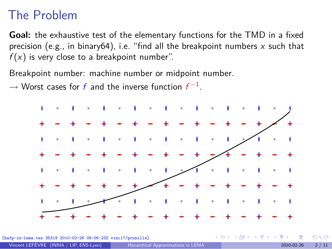## The Problem

**Goal:** the exhaustive test of the elementary functions for the TMD in a fixed precision (e.g., in binary64), i.e. "find all the breakpoint numbers  $x$  such that  $f(x)$  is very close to a breakpoint number".

Breakpoint number: machine number or midpoint number.

*→* Worst cases for f and the inverse function f *−*1 .



[hafp-in-lema.tex 35319 2010-02-26 08:06:23Z vinc17/prunille]

 $\Omega$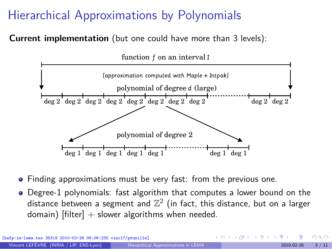## Hierarchical Approximations by Polynomials

**Current implementation** (but one could have more than 3 levels):



- Finding approximations must be very fast: from the previous one.
- Degree-1 polynomials: fast algorithm that computes a lower bound on the distance between a segment and  $\mathbb{Z}^2$  (in fact, this distance, but on a larger domain)  $[filter] + slower algorithms$  when needed.

a.tex 35319 2010-02-26 08:06:23Z vinc17/prunille]

 $\Omega$ 

 $($  ロ )  $($   $($  $)$   $)$   $($   $)$   $($   $)$   $($   $)$   $($   $)$   $($   $)$   $($   $)$   $($   $)$   $($   $)$   $($   $)$   $($   $)$   $($   $)$   $($   $)$   $($   $)$   $($   $)$   $($   $)$   $($   $)$   $($   $)$   $($   $)$   $($   $)$   $($   $)$   $($   $)$   $($   $)$   $($   $)$   $($   $)$   $($   $)$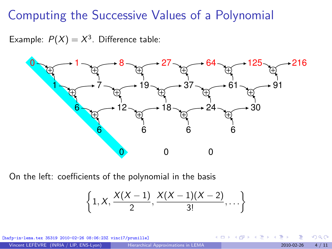## Computing the Successive Values of a Polynomial

<span id="page-3-0"></span>Example:  $P(X) = X^3$ . Difference table:



On the left: coefficients of the polynomial in the basis

$$
\left\{1, X, \frac{X(X-1)}{2}, \frac{X(X-1)(X-2)}{3!}, \ldots\right\}
$$

[hafp-in-lema.tex 35319 2010-02-26 08:06:23Z vinc17/prunille]

**≮ロト ⊀何ト ⊀ミト**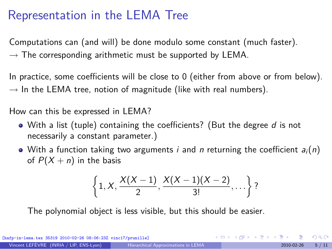## Representation in the LEMA Tree

Computations can (and will) be done modulo some constant (much faster). *→* The corresponding arithmetic must be supported by LEMA.

In practice, some coefficients will be close to 0 (either from above or from below).  $\rightarrow$  In the LEMA tree, notion of magnitude (like with real numbers).

How can this be expressed in LEMA?

- $\bullet$  With a list (tuple) containing the coefficients? (But the degree d is not necessarily a constant parameter.)
- With a function taking two arguments *i* and *n* returning the coefficient  $a_i(n)$ of  $P(X + n)$  in the basis

$$
\left\{1, X, \frac{X(X-1)}{2}, \frac{X(X-1)(X-2)}{3!}, \ldots\right\}
$$
?

The polynomial object is less visible, but this should be easier.

[hafp-in-lema.tex 35319 2010-02-26 08:06:23Z vinc17/prunille]

 $\Omega$ 

 $\mathbf{A} \equiv \mathbf{A} + \mathbf{A} \mathbf{B} + \mathbf{A} \equiv \mathbf{A} + \mathbf{A} \equiv \mathbf{A}$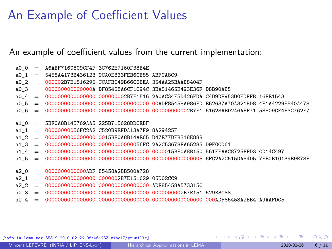## An Example of Coefficient Values

#### An example of coefficient values from the current implementation:

|  | $a00 = A6ABF7160809CF4F 3C762E7160F38B4E$                                                      |  |  |
|--|------------------------------------------------------------------------------------------------|--|--|
|  | $a0$ 1 = 5458A4173B436123 9CA0E833FEB6CB85 ABFCA8C9                                            |  |  |
|  | $a0 \quad 2 \quad = \quad 000002$ B7E1516295 CCAFB049B66C0BEA 354AA25BAAB8404F                 |  |  |
|  | $a0.3 = 0000000000000000$ DF85458A6CF1C94C 3BA51465E493E36F D8B90AB5                           |  |  |
|  | $a0.4$ = 00000000000000000 000000002B7E1516 2A0AC34F5D426FDA C4D9DF953D0EDFFB 16FE1543         |  |  |
|  | $a0.5$ = 00000000000000000 0000000000000000 00ADF85458A986FD E62637A70A321BD8 4F1A4229E540A478 |  |  |
|  |                                                                                                |  |  |
|  |                                                                                                |  |  |
|  | $a1 0 = 5BFOA8B145769AAB 225B715628DDCEBF$                                                     |  |  |
|  | $a1 1 = 00000000056FC2A2 C520B9EFDA13A7F9 8A29425F$                                            |  |  |
|  | $a1 2 = 000000000000000000000015BF0A8B14AEE65 D47E77DFB318E888$                                |  |  |
|  |                                                                                                |  |  |
|  |                                                                                                |  |  |
|  |                                                                                                |  |  |
|  |                                                                                                |  |  |
|  | $a2 0 = 00000000000000$ ADF 85458A2BB500A728                                                   |  |  |
|  | $a2 1 = 0000000000000000000000002B7E15162905D02CC9$                                            |  |  |
|  |                                                                                                |  |  |
|  |                                                                                                |  |  |
|  |                                                                                                |  |  |

[hafp-in-lema.tex 35319 2010-02-26 08:06:23Z vinc17/prunille]

メロメ メ御 メメ ヨメ メヨメ

 $299$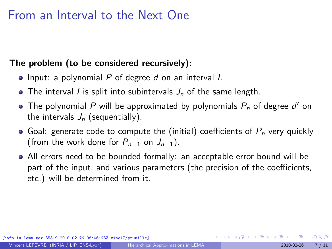### From an Interval to the Next One

### **The problem (to be considered recursively):**

- $\bullet$  Input: a polynomial P of degree d on an interval I.
- The interval *I* is split into subintervals  $J_n$  of the same length.
- The polynomial  $P$  will be approximated by polynomials  $P_n$  of degree  $d'$  on the intervals  $J_n$  (sequentially).
- Goal: generate code to compute the (initial) coefficients of  $P_n$  very quickly (from the work done for  $P_{n-1}$  on  $J_{n-1}$ ).
- All errors need to be bounded formally: an acceptable error bound will be part of the input, and various parameters (the precision of the coefficients, etc.) will be determined from it.

[hafp-in-lema.tex 35319 2010-02-26 08:06:23Z vinc17/prunille]

 $\Omega$ 

 $\left\{ \begin{array}{ccc} 1 & 0 & 0 \\ 0 & 1 & 0 \end{array} \right.$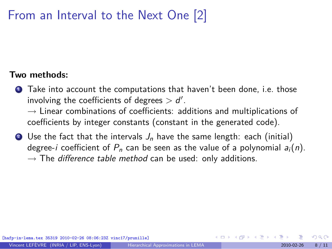## From an Interval to the Next One [2]

#### **Two methods:**

**1** Take into account the computations that haven't been done, i.e. those involving the coefficients of degrees *>* d *′* .

*→* Linear combinations of coefficients: additions and multiplications of coefficients by integer constants (constant in the generated code).

**2** Use the fact that the intervals  $J_n$  have the same length: each (initial) degree-i coefficient of  $P_n$  can be seen as the value of a polynomial  $a_i(n)$ . *→* The [difference table method](#page-3-0) can be used: only additions.

[hafp-in-lema.tex 35319 2010-02-26 08:06:23Z vinc17/prunille]

റാ റ

イロト イ押 トイヨ トイヨト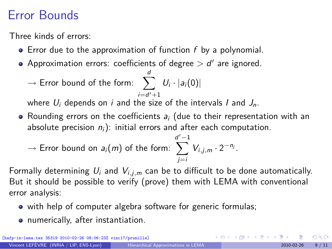## Error Bounds

Three kinds of errors:

- $\bullet$  Error due to the approximation of function f by a polynomial.
- Approximation errors: coefficients of degree *>* d *′* are ignored.
	- $\rightarrow$  Error bound of the form:  $\sum U_i \cdot |a_i(0)|$ d i=d *′*+1

where  $U_i$  depends on i and the size of the intervals I and  $J_n$ .

• Rounding errors on the coefficients  $a_i$  (due to their representation with an absolute precision  $n_i$ ): initial errors and after each computation.

$$
\rightarrow \text{Error bound on } a_i(m) \text{ of the form: } \sum_{j=i}^{d'-1} V_{i,j,m} \cdot 2^{-n_j}.
$$

Formally determining  $U_i$  and  $V_{i,i,m}$  can be to difficult to be done automatically. But it should be possible to verify (prove) them with LEMA with conventional error analysis:

- with help of computer algebra software for generic formulas;
- numerically, after instantiation.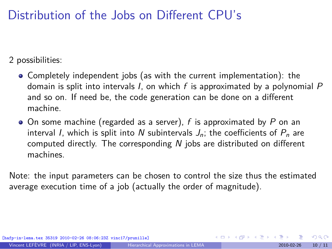## Distribution of the Jobs on Different CPU's

2 possibilities:

- Completely independent jobs (as with the current implementation): the domain is split into intervals I, on which  $f$  is approximated by a polynomial  $P$ and so on. If need be, the code generation can be done on a different machine.
- $\bullet$  On some machine (regarded as a server), f is approximated by P on an interval I, which is split into N subintervals  $J_n$ ; the coefficients of  $P_n$  are computed directly. The corresponding  $N$  jobs are distributed on different machines.

Note: the input parameters can be chosen to control the size thus the estimated average execution time of a job (actually the order of magnitude).

[hafp-in-lema.tex 35319 2010-02-26 08:06:23Z vinc17/prunille]

 $\Omega$ 

イロト イ何 ト イヨ ト イヨ トー